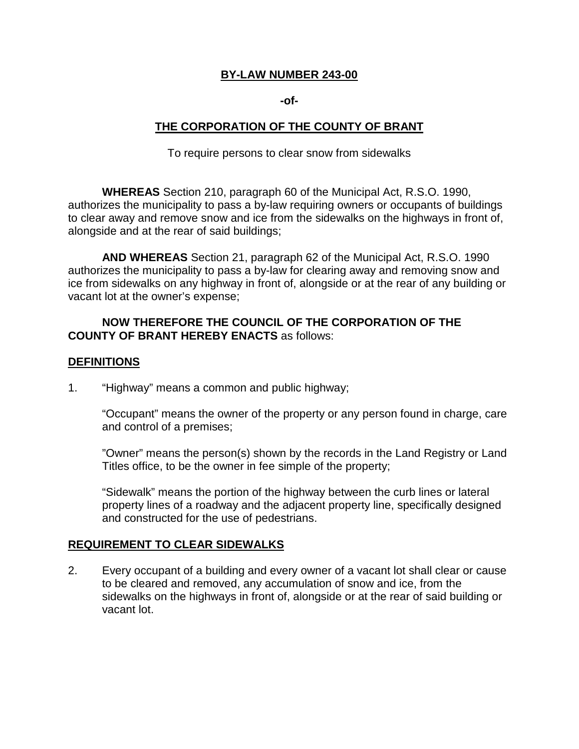### **BY-LAW NUMBER 243-00**

#### **-of-**

## **THE CORPORATION OF THE COUNTY OF BRANT**

To require persons to clear snow from sidewalks

 **WHEREAS** Section 210, paragraph 60 of the Municipal Act, R.S.O. 1990, authorizes the municipality to pass a by-law requiring owners or occupants of buildings to clear away and remove snow and ice from the sidewalks on the highways in front of, alongside and at the rear of said buildings;

 **AND WHEREAS** Section 21, paragraph 62 of the Municipal Act, R.S.O. 1990 authorizes the municipality to pass a by-law for clearing away and removing snow and ice from sidewalks on any highway in front of, alongside or at the rear of any building or vacant lot at the owner's expense;

## **NOW THEREFORE THE COUNCIL OF THE CORPORATION OF THE COUNTY OF BRANT HEREBY ENACTS** as follows:

#### **DEFINITIONS**

1. "Highway" means a common and public highway;

 "Occupant" means the owner of the property or any person found in charge, care and control of a premises;

 "Owner" means the person(s) shown by the records in the Land Registry or Land Titles office, to be the owner in fee simple of the property;

 "Sidewalk" means the portion of the highway between the curb lines or lateral property lines of a roadway and the adjacent property line, specifically designed and constructed for the use of pedestrians.

### **REQUIREMENT TO CLEAR SIDEWALKS**

 $2.$  to be cleared and removed, any accumulation of snow and ice, from the sidewalks on the highways in front of, alongside or at the rear of said building or vacant lot. Every occupant of a building and every owner of a vacant lot shall clear or cause